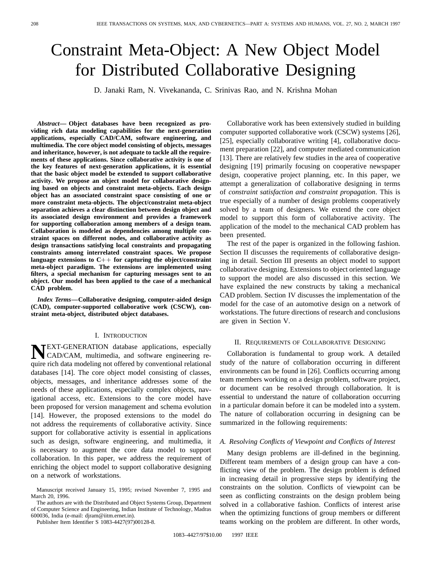# Constraint Meta-Object: A New Object Model for Distributed Collaborative Designing

D. Janaki Ram, N. Vivekananda, C. Srinivas Rao, and N. Krishna Mohan

*Abstract—* **Object databases have been recognized as providing rich data modeling capabilities for the next-generation applications, especially CAD/CAM, software engineering, and multimedia. The core object model consisting of objects, messages and inheritance, however, is not adequate to tackle all the requirements of these applications. Since collaborative activity is one of the key features of next-generation applications, it is essential that the basic object model be extended to support collaborative activity. We propose an object model for collaborative designing based on objects and constraint meta-objects. Each design object has an associated constraint space consisting of one or more constraint meta-objects. The object/constraint meta-object separation achieves a clear distinction between design object and its associated design environment and provides a framework for supporting collaboration among members of a design team. Collaboration is modeled as dependencies among multiple constraint spaces on different nodes, and collaborative activity as design transactions satisfying local constraints and propagating constraints among interrelated constraint spaces. We propose language extensions to C**++ **for capturing the object/constraint meta-object paradigm. The extensions are implemented using filters, a special mechanism for capturing messages sent to an object. Our model has been applied to the case of a mechanical CAD problem.**

*Index Terms—***Collaborative designing, computer-aided design (CAD), computer-supported collaborative work (CSCW), constraint meta-object, distributed object databases.**

#### I. INTRODUCTION

**NEXT-GENERATION** database applications, especially CAD/CAM, multimedia, and software engineering require rich data modeling not offered by conventional relational databases [14]. The core object model consisting of classes, objects, messages, and inheritance addresses some of the needs of these applications, especially complex objects, navigational access, etc. Extensions to the core model have been proposed for version management and schema evolution [14]. However, the proposed extensions to the model do not address the requirements of collaborative activity. Since support for collaborative activity is essential in applications such as design, software engineering, and multimedia, it is necessary to augment the core data model to support collaboration. In this paper, we address the requirement of enriching the object model to support collaborative designing on a network of workstations.

The authors are with the Distributed and Object Systems Group, Department of Computer Science and Engineering, Indian Institute of Technology, Madras 600036, India (e-mail: djram@iitm.ernet.in).

Publisher Item Identifier S 1083-4427(97)00128-8.

Collaborative work has been extensively studied in building computer supported collaborative work (CSCW) systems [26], [25], especially collaborative writing [4], collaborative document preparation [22], and computer mediated communication [13]. There are relatively few studies in the area of cooperative designing [19] primarily focusing on cooperative newspaper design, cooperative project planning, etc. In this paper, we attempt a generalization of collaborative designing in terms of *constraint satisfaction and constraint propagation*. This is true especially of a number of design problems cooperatively solved by a team of designers. We extend the core object model to support this form of collaborative activity. The application of the model to the mechanical CAD problem has been presented.

The rest of the paper is organized in the following fashion. Section II discusses the requirements of collaborative designing in detail. Section III presents an object model to support collaborative designing. Extensions to object oriented language to support the model are also discussed in this section. We have explained the new constructs by taking a mechanical CAD problem. Section IV discusses the implementation of the model for the case of an automotive design on a network of workstations. The future directions of research and conclusions are given in Section V.

### II. REQUIREMENTS OF COLLABORATIVE DESIGNING

Collaboration is fundamental to group work. A detailed study of the nature of collaboration occurring in different environments can be found in [26]. Conflicts occurring among team members working on a design problem, software project, or document can be resolved through collaboration. It is essential to understand the nature of collaboration occurring in a particular domain before it can be modeled into a system. The nature of collaboration occurring in designing can be summarized in the following requirements:

### *A. Resolving Conflicts of Viewpoint and Conflicts of Interest*

Many design problems are ill-defined in the beginning. Different team members of a design group can have a conflicting view of the problem. The design problem is defined in increasing detail in progressive steps by identifying the constraints on the solution. Conflicts of viewpoint can be seen as conflicting constraints on the design problem being solved in a collaborative fashion. Conflicts of interest arise when the optimizing functions of group members or different teams working on the problem are different. In other words,

Manuscript received January 15, 1995; revised November 7, 1995 and March 20, 1996.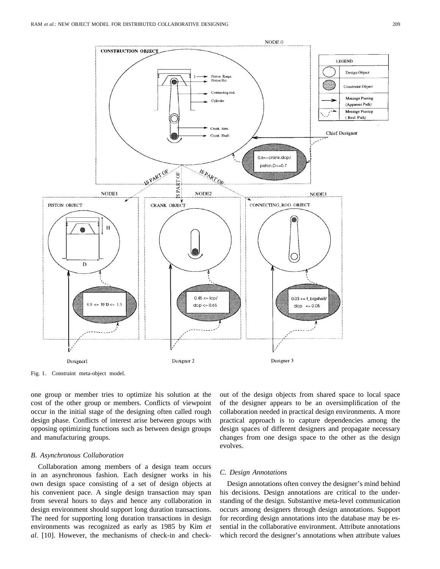

Fig. 1. Constraint meta-object model.

one group or member tries to optimize his solution at the cost of the other group or members. Conflicts of viewpoint occur in the initial stage of the designing often called rough design phase. Conflicts of interest arise between groups with opposing optimizing functions such as between design groups and manufacturing groups.

#### *B. Asynchronous Collaboration*

Collaboration among members of a design team occurs in an asynchronous fashion. Each designer works in his own design space consisting of a set of design objects at his convenient pace. A single design transaction may span from several hours to days and hence any collaboration in design environment should support long duration transactions. The need for supporting long duration transactions in design environments was recognized as early as 1985 by Kim *et al*. [10]. However, the mechanisms of check-in and checkout of the design objects from shared space to local space of the designer appears to be an oversimplification of the collaboration needed in practical design environments. A more practical approach is to capture dependencies among the design spaces of different designers and propagate necessary changes from one design space to the other as the design evolves.

#### *C. Design Annotations*

Design annotations often convey the designer's mind behind his decisions. Design annotations are critical to the understanding of the design. Substantive meta-level communication occurs among designers through design annotations. Support for recording design annotations into the database may be essential in the collaborative environment. Attribute annotations which record the designer's annotations when attribute values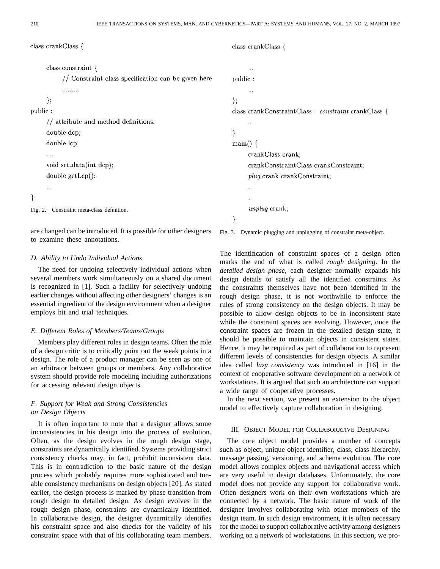| class crankClass {                                                | class crankClass $\{$                                              |  |
|-------------------------------------------------------------------|--------------------------------------------------------------------|--|
| class constraint $\{$                                             |                                                                    |  |
| // Constraint class specification can be given here               | public:                                                            |  |
| .                                                                 | $\ddotsc$                                                          |  |
| };                                                                | $\}$ ;                                                             |  |
| public:                                                           | class crankConstraintClass : constraint crankClass {               |  |
| // attribute and method definitions.                              |                                                                    |  |
| double dcp;                                                       |                                                                    |  |
| double lcp;                                                       | $\text{main}() \{$                                                 |  |
|                                                                   | crankClass crank;                                                  |  |
| void set_data(int dcp);                                           | crankConstraintClass crankConstraint;                              |  |
| double $getLcp()$ ;                                               | plug crank crankConstraint;                                        |  |
|                                                                   |                                                                    |  |
| $\}$                                                              |                                                                    |  |
| Constraint meta-class definition.<br>Fig. $2$ .                   | <i>unplug</i> crank;                                               |  |
|                                                                   |                                                                    |  |
| are changed can be introduced. It is possible for other designers | Fig. 3. Dynamic plugging and unplugging of constraint meta-object. |  |

are changed can be introduced. It is possible for other designers to examine these annotations.

## *D. Ability to Undo Individual Actions*

The need for undoing selectively individual actions when several members work simultaneously on a shared document is recognized in [1]. Such a facility for selectively undoing earlier changes without affecting other designers' changes is an essential ingredient of the design environment when a designer employs hit and trial techniques.

## *E. Different Roles of Members/Teams/Groups*

Members play different roles in design teams. Often the role of a design critic is to critically point out the weak points in a design. The role of a product manager can be seen as one of an arbitrator between groups or members. Any collaborative system should provide role modeling including authorizations for accessing relevant design objects.

## *F. Support for Weak and Strong Consistencies on Design Objects*

It is often important to note that a designer allows some inconsistencies in his design into the process of evolution. Often, as the design evolves in the rough design stage, constraints are dynamically identified. Systems providing strict consistency checks may, in fact, prohibit inconsistent data. This is in contradiction to the basic nature of the design process which probably requires more sophisticated and tunable consistency mechanisms on design objects [20]. As stated earlier, the design process is marked by phase transition from rough design to detailed design. As design evolves in the rough design phase, constraints are dynamically identified. In collaborative design, the designer dynamically identifies his constraint space and also checks for the validity of his constraint space with that of his collaborating team members. The identification of constraint spaces of a design often marks the end of what is called *rough designing*. In the *detailed design phase*, each designer normally expands his design details to satisfy all the identified constraints. As the constraints themselves have not been identified in the rough design phase, it is not worthwhile to enforce the rules of strong consistency on the design objects. It may be possible to allow design objects to be in inconsistent state while the constraint spaces are evolving. However, once the constraint spaces are frozen in the detailed design state, it should be possible to maintain objects in consistent states. Hence, it may be required as part of collaboration to represent different levels of consistencies for design objects. A similar idea called *lazy consistency* was introduced in [16] in the context of cooperative software development on a network of workstations. It is argued that such an architecture can support a wide range of cooperative processes.

In the next section, we present an extension to the object model to effectively capture collaboration in designing.

## III. OBJECT MODEL FOR COLLABORATIVE DESIGNING

The core object model provides a number of concepts such as object, unique object identifier, class, class hierarchy, message passing, versioning, and schema evolution. The core model allows complex objects and navigational access which are very useful in design databases. Unfortunately, the core model does not provide any support for collaborative work. Often designers work on their own workstations which are connected by a network. The basic nature of work of the designer involves collaborating with other members of the design team. In such design environment, it is often necessary for the model to support collaborative activity among designers working on a network of workstations. In this section, we pro-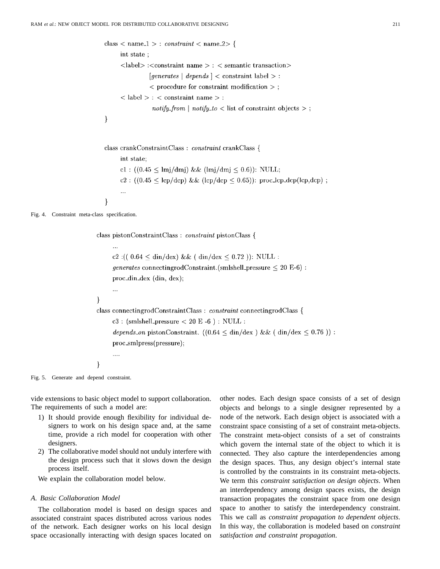```
class < name<sub>1</sub> > : constraint < name<sub>2</sub> \{int state;
       \langle \text{label}\rangle: \langle \text{constraint name}\rangle: \langle \text{semantic transaction}\rangle[generates | depends \vert < constraint label > :
                    \langle procedure for constraint modification \rangle;
       \langle label \rangle : \langle constraint name \rangle :
                     notify_from | notify_to < list of constraint objects >;
\}class crankConstraintClass : constraint crankClass {
```

```
int state;
c1 : ((0.45 \le \text{lmj/dmj}) \&\& (\text{lmj/dmj} \le 0.6)): NULL;
c2 : ((0.45 \leq \text{lep}/\text{dep}) \&\& (\text{lep}/\text{dep} \leq 0.65)): proc_lcp_dcp(lcp,dcp) ;
```
Fig. 4. Constraint meta-class specification.

ł

 $\}$ 

 $\}$ 

class pistonConstraintClass : constraint pistonClass {

```
c2 :(( 0.64 \le \dim/\text{dex}) && ( \dim/\text{dex} \le 0.72 )): NULL :
      generates connecting rod Constraint. (smlshell_pressure \leq 20 E-6):
      proc_din_dex (din, dex);
      \ddotscclass connecting rodConstraintClass : constraint connecting rodClass {
      c3: (smlshell_pressure < 20 E -6 ) : NULL :
      depends on pistonConstraint. ((0.64 \le \text{din/dex}) \&( \text{din/dex} \le 0.76)):
      proc_smlpress(pressure);
      \ldots
```
Fig. 5. Generate and depend constraint.

vide extensions to basic object model to support collaboration. The requirements of such a model are:

- 1) It should provide enough flexibility for individual designers to work on his design space and, at the same time, provide a rich model for cooperation with other designers.
- 2) The collaborative model should not unduly interfere with the design process such that it slows down the design process itself.

We explain the collaboration model below.

#### *A. Basic Collaboration Model*

The collaboration model is based on design spaces and associated constraint spaces distributed across various nodes of the network. Each designer works on his local design space occasionally interacting with design spaces located on other nodes. Each design space consists of a set of design objects and belongs to a single designer represented by a node of the network. Each design object is associated with a constraint space consisting of a set of constraint meta-objects. The constraint meta-object consists of a set of constraints which govern the internal state of the object to which it is connected. They also capture the interdependencies among the design spaces. Thus, any design object's internal state is controlled by the constraints in its constraint meta-objects. We term this *constraint satisfaction on design objects*. When an interdependency among design spaces exists, the design transaction propagates the constraint space from one design space to another to satisfy the interdependency constraint. This we call as *constraint propagation to dependent objects*. In this way, the collaboration is modeled based on *constraint satisfaction and constraint propagation*.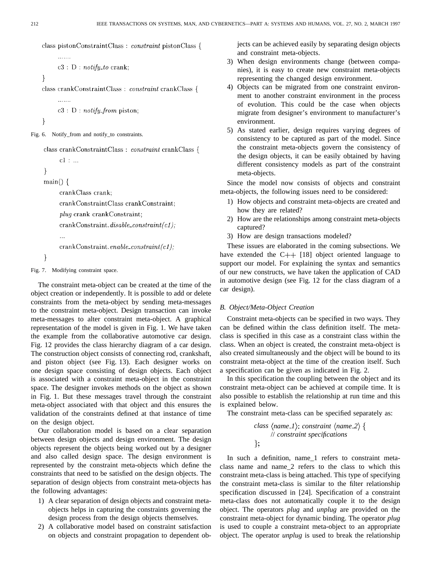class pistonConstraintClass : constraint pistonClass {

```
c3 : D : notify_to crank;
\mathcal{F}class crankConstraintClass : constraint crankClass {
      . . . . . . .
```
 $c3 : D : notify\_from$  piston;

 $\mathcal{F}$ 

Fig. 6. Notify\_from and notify\_to constraints.

class crankConstraintClass : constraint crankClass {

 $c1$ : ...

 $\}$ 

 $\text{main}() \{$ 

crankClass crank;

crankConstraintClass crankConstraint;

plug crank crankConstraint;

 $crankConstruction straint. *disable\_constraint(c1);*$ 

 $crankConstant. enable\_constraint(cl);$ 

 $\left\{ \right.$ 

Fig. 7. Modifying constraint space.

The constraint meta-object can be created at the time of the object creation or independently. It is possible to add or delete constraints from the meta-object by sending meta-messages to the constraint meta-object. Design transaction can invoke meta-messages to alter constraint meta-object. A graphical representation of the model is given in Fig. 1. We have taken the example from the collaborative automotive car design. Fig. 12 provides the class hierarchy diagram of a car design. The construction object consists of connecting rod, crankshaft, and piston object (see Fig. 13). Each designer works on one design space consisting of design objects. Each object is associated with a constraint meta-object in the constraint space. The designer invokes methods on the object as shown in Fig. 1. But these messages travel through the constraint meta-object associated with that object and this ensures the validation of the constraints defined at that instance of time on the design object.

Our collaboration model is based on a clear separation between design objects and design environment. The design objects represent the objects being worked out by a designer and also called design space. The design environment is represented by the constraint meta-objects which define the constraints that need to be satisfied on the design objects. The separation of design objects from constraint meta-objects has the following advantages:

- 1) A clear separation of design objects and constraint metaobjects helps in capturing the constraints governing the design process from the design objects themselves.
- 2) A collaborative model based on constraint satisfaction on objects and constraint propagation to dependent ob-

jects can be achieved easily by separating design objects and constraint meta-objects.

- 3) When design environments change (between companies), it is easy to create new constraint meta-objects representing the changed design environment.
- 4) Objects can be migrated from one constraint environment to another constraint environment in the process of evolution. This could be the case when objects migrate from designer's environment to manufacturer's environment.
- 5) As stated earlier, design requires varying degrees of consistency to be captured as part of the model. Since the constraint meta-objects govern the consistency of the design objects, it can be easily obtained by having different consistency models as part of the constraint meta-objects.

Since the model now consists of objects and constraint meta-objects, the following issues need to be considered:

- 1) How objects and constraint meta-objects are created and how they are related?
- 2) How are the relationships among constraint meta-objects captured?

3) How are design transactions modeled?

These issues are elaborated in the coming subsections. We have extended the  $C++$  [18] object oriented language to support our model. For explaining the syntax and semantics of our new constructs, we have taken the application of CAD in automotive design (see Fig. 12 for the class diagram of a car design).

### *B. Object/Meta-Object Creation*

Constraint meta-objects can be specified in two ways. They can be defined within the class definition itself. The metaclass is specified in this case as a constraint class within the class. When an object is created, the constraint meta-object is also created simultaneously and the object will be bound to its constraint meta-object at the time of the creation itself. Such a specification can be given as indicated in Fig. 2.

In this specification the coupling between the object and its constraint meta-object can be achieved at compile time. It is also possible to establish the relationship at run time and this is explained below.

The constraint meta-class can be specified separately as:

*class*  $\langle name_1 \rangle$ *: constraint*  $\langle name_2 \rangle$  { // *constraint specifications*  $\cdot$ 

In such a definition, name\_1 refers to constraint metaclass name and name\_2 refers to the class to which this constraint meta-class is being attached. This type of specifying the constraint meta-class is similar to the filter relationship specification discussed in [24]. Specification of a constraint meta-class does not automatically couple it to the design object. The operators *plug* and *unplug* are provided on the constraint meta-object for dynamic binding. The operator *plug* is used to couple a constraint meta-object to an appropriate object. The operator *unplug* is used to break the relationship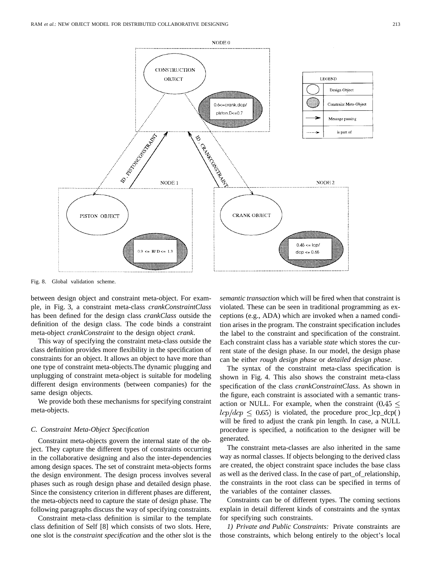

Fig. 8. Global validation scheme.

between design object and constraint meta-object. For example, in Fig. 3, a constraint meta-class *crankConstraintClass* has been defined for the design class *crankClass* outside the definition of the design class. The code binds a constraint meta-object *crankConstraint* to the design object *crank*.

This way of specifying the constraint meta-class outside the class definition provides more flexibility in the specification of constraints for an object. It allows an object to have more than one type of constraint meta-objects.The dynamic plugging and unplugging of constraint meta-object is suitable for modeling different design environments (between companies) for the same design objects.

We provide both these mechanisms for specifying constraint meta-objects.

#### *C. Constraint Meta-Object Specification*

Constraint meta-objects govern the internal state of the object. They capture the different types of constraints occurring in the collaborative designing and also the inter-dependencies among design spaces. The set of constraint meta-objects forms the design environment. The design process involves several phases such as rough design phase and detailed design phase. Since the consistency criterion in different phases are different, the meta-objects need to capture the state of design phase. The following paragraphs discuss the way of specifying constraints.

Constraint meta-class definition is similar to the template class definition of Self [8] which consists of two slots. Here, one slot is the *constraint specification* and the other slot is the

*semantic transaction* which will be fired when that constraint is violated. These can be seen in traditional programming as exceptions (e.g., ADA) which are invoked when a named condition arises in the program. The constraint specification includes the label to the constraint and specification of the constraint. Each constraint class has a variable *state* which stores the current state of the design phase. In our model, the design phase can be either *rough design phase* or *detailed design phase*.

The syntax of the constraint meta-class specification is shown in Fig. 4. This also shows the constraint meta-class specification of the class *crankConstraintClass*. As shown in the figure, each constraint is associated with a semantic transaction or NULL. For example, when the constraint  $(0.45 \le$  $\frac{1}{cp}\cdot\frac{1}{c}$  (0.65) is violated, the procedure proc\_lcp\_dcp() will be fired to adjust the crank pin length. In case, a NULL procedure is specified, a notification to the designer will be generated.

The constraint meta-classes are also inherited in the same way as normal classes. If objects belonging to the derived class are created, the object constraint space includes the base class as well as the derived class. In the case of part of relationship, the constraints in the root class can be specified in terms of the variables of the container classes.

Constraints can be of different types. The coming sections explain in detail different kinds of constraints and the syntax for specifying such constraints.

*1) Private and Public Constraints:* Private constraints are those constraints, which belong entirely to the object's local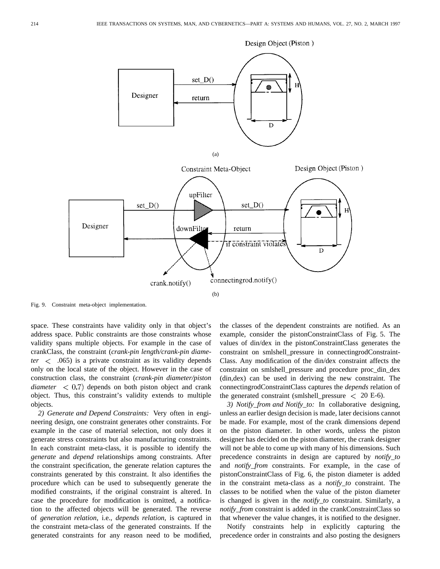

Fig. 9. Constraint meta-object implementation.

space. These constraints have validity only in that object's address space. Public constraints are those constraints whose validity spans multiple objects. For example in the case of crankClass, the constraint (*crank-pin length/crank-pin diame* $ter < .065$ ) is a private constraint as its validity depends only on the local state of the object. However in the case of construction class, the constraint (*crank-pin diameter/piston*  $diameter \leq 0.7$  depends on both piston object and crank object. Thus, this constraint's validity extends to multiple objects.

*2) Generate and Depend Constraints:* Very often in engineering design, one constraint generates other constraints. For example in the case of material selection, not only does it generate stress constraints but also manufacturing constraints. In each constraint meta-class, it is possible to identify the *generate* and *depend* relationships among constraints. After the constraint specification, the generate relation captures the constraints generated by this constraint. It also identifies the procedure which can be used to subsequently generate the modified constraints, if the original constraint is altered. In case the procedure for modification is omitted, a notification to the affected objects will be generated. The reverse of *generation relation*, i.e., *depends relation*, is captured in the constraint meta-class of the generated constraints. If the generated constraints for any reason need to be modified,

the classes of the dependent constraints are notified. As an example, consider the pistonConstraintClass of Fig. 5. The values of din/dex in the pistonConstraintClass generates the constraint on smlshell\_pressure in connectingrodConstraint-Class. Any modification of the din/dex constraint affects the constraint on smlshell\_pressure and procedure proc\_din\_dex (din,dex) can be used in deriving the new constraint. The connectingrodConstraintClass captures the *depends* relation of the generated constraint (smlshell\_pressure  $\langle 20 \text{ E-6} \rangle$ .

*3) Notify\_from and Notify\_to:* In collaborative designing, unless an earlier design decision is made, later decisions cannot be made. For example, most of the crank dimensions depend on the piston diameter. In other words, unless the piston designer has decided on the piston diameter, the crank designer will not be able to come up with many of his dimensions. Such precedence constraints in design are captured by *notify\_to* and *notify\_from* constraints. For example, in the case of pistonConstraintClass of Fig. 6, the piston diameter is added in the constraint meta-class as a *notify\_to* constraint. The classes to be notified when the value of the piston diameter is changed is given in the *notify\_to* constraint. Similarly, a *notify\_from* constraint is added in the crankConstraintClass so that whenever the value changes, it is notified to the designer.

Notify constraints help in explicitly capturing the precedence order in constraints and also posting the designers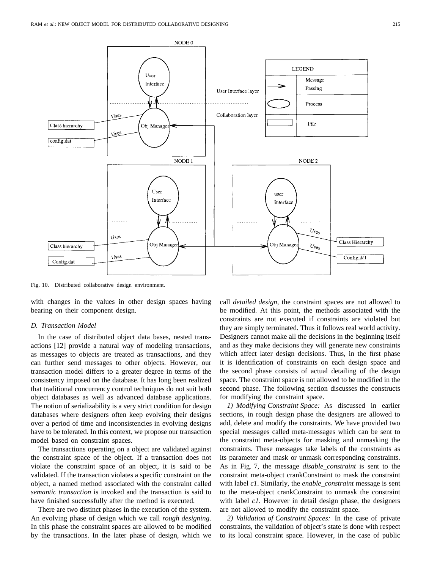

Fig. 10. Distributed collaborative design environment.

with changes in the values in other design spaces having bearing on their component design.

#### *D. Transaction Model*

In the case of distributed object data bases, nested transactions [12] provide a natural way of modeling transactions, as messages to objects are treated as transactions, and they can further send messages to other objects. However, our transaction model differs to a greater degree in terms of the consistency imposed on the database. It has long been realized that traditional concurrency control techniques do not suit both object databases as well as advanced database applications. The notion of serializability is a very strict condition for design databases where designers often keep evolving their designs over a period of time and inconsistencies in evolving designs have to be tolerated. In this context, we propose our transaction model based on constraint spaces.

The transactions operating on a object are validated against the constraint space of the object. If a transaction does not violate the constraint space of an object, it is said to be validated. If the transaction violates a specific constraint on the object, a named method associated with the constraint called *semantic transaction* is invoked and the transaction is said to have finished successfully after the method is executed.

There are two distinct phases in the execution of the system. An evolving phase of design which we call *rough designing*. In this phase the constraint spaces are allowed to be modified by the transactions. In the later phase of design, which we call *detailed design*, the constraint spaces are not allowed to be modified. At this point, the methods associated with the constraints are not executed if constraints are violated but they are simply terminated. Thus it follows real world activity. Designers cannot make all the decisions in the beginning itself and as they make decisions they will generate new constraints which affect later design decisions. Thus, in the first phase it is identification of constraints on each design space and the second phase consists of actual detailing of the design space. The constraint space is not allowed to be modified in the second phase. The following section discusses the constructs for modifying the constraint space.

*1) Modifying Constraint Space:* As discussed in earlier sections, in rough design phase the designers are allowed to add, delete and modify the constraints. We have provided two special messages called meta-messages which can be sent to the constraint meta-objects for masking and unmasking the constraints. These messages take labels of the constraints as its parameter and mask or unmask corresponding constraints. As in Fig. 7, the message *disable\_constraint* is sent to the constraint meta-object crankConstraint to mask the constraint with label *c1*. Similarly, the *enable\_constraint* message is sent to the meta-object crankConstraint to unmask the constraint with label *c1*. However in detail design phase, the designers are not allowed to modify the constraint space.

*2) Validation of Constraint Spaces:* In the case of private constraints, the validation of object's state is done with respect to its local constraint space. However, in the case of public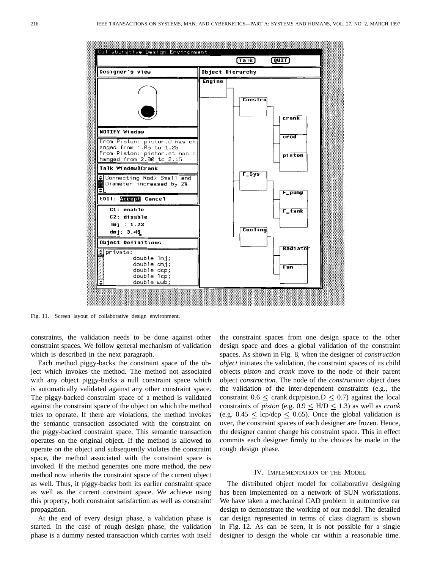

Fig. 11. Screen layout of collaborative design environment.

constraints, the validation needs to be done against other constraint spaces. We follow general mechanism of validation which is described in the next paragraph.

Each method piggy-backs the constraint space of the object which invokes the method. The method not associated with any object piggy-backs a null constraint space which is automatically validated against any other constraint space. The piggy-backed constraint space of a method is validated against the constraint space of the object on which the method tries to operate. If there are violations, the method invokes the semantic transaction associated with the constraint on the piggy-backed constraint space. This semantic transaction operates on the original object. If the method is allowed to operate on the object and subsequently violates the constraint space, the method associated with the constraint space is invoked. If the method generates one more method, the new method now inherits the constraint space of the current object as well. Thus, it piggy-backs both its earlier constraint space as well as the current constraint space. We achieve using this property, both constraint satisfaction as well as constraint propagation.

At the end of every design phase, a validation phase is started. In the case of rough design phase, the validation phase is a dummy nested transaction which carries with itself the constraint spaces from one design space to the other design space and does a global validation of the constraint spaces. As shown in Fig. 8, when the designer of *construction object* initiates the validation, the constraint spaces of its child objects *piston* and *crank* move to the node of their parent object *construction*. The node of the *construction* object does the validation of the inter-dependent constraints (e.g., the constraint  $0.6 \leq$  crank.dcp/piston.D  $\leq 0.7$ ) against the local constraints of *piston* (e.g.  $0.9 \leq H/D \leq 1.3$ ) as well as *crank* (e.g.  $0.45 \leq$  lcp/dcp  $\leq$  0.65). Once the global validation is over, the constraint spaces of each designer are frozen. Hence, the designer cannot change his constraint space. This in effect commits each designer firmly to the choices he made in the rough design phase.

#### IV. IMPLEMENTATION OF THE MODEL

The distributed object model for collaborative designing has been implemented on a network of SUN workstations. We have taken a mechanical CAD problem in automotive car design to demonstrate the working of our model. The detailed car design represented in terms of class diagram is shown in Fig. 12. As can be seen, it is not possible for a single designer to design the whole car within a reasonable time.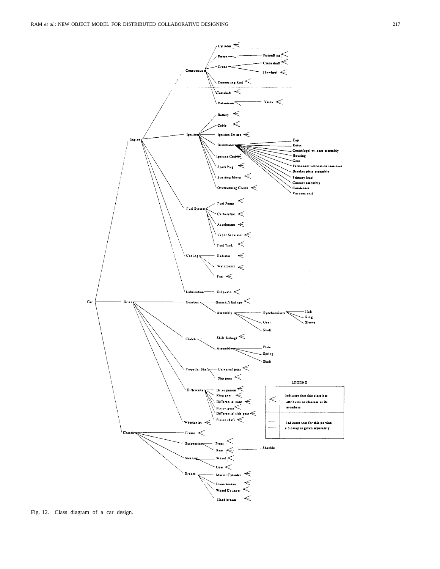

Fig. 12. Class diagram of a car design.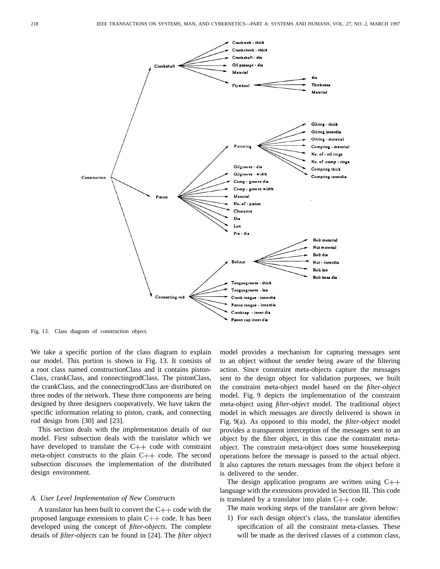

Fig. 13. Class diagram of construction object.

We take a specific portion of the class diagram to explain our model. This portion is shown in Fig. 13. It consists of a root class named constructionClass and it contains piston-Class, crankClass, and connectingrodClass. The pistonClass, the crankClass, and the connectingrodClass are distributed on three nodes of the network. These three components are being designed by three designers cooperatively. We have taken the specific information relating to piston, crank, and connecting rod design from [30] and [23].

This section deals with the implementation details of our model. First subsection deals with the translator which we have developed to translate the  $C++$  code with constraint meta-object constructs to the plain  $C++$  code. The second subsection discusses the implementation of the distributed design environment.

#### *A. User Level Implementation of New Constructs*

A translator has been built to convert the  $C++$  code with the proposed language extensions to plain  $C++$  code. It has been developed using the concept of *filter-objects*. The complete details of *filter-objects* can be found in [24]. The *filter object* model provides a mechanism for capturing messages sent to an object without the sender being aware of the filtering action. Since constraint meta-objects capture the messages sent to the design object for validation purposes, we built the constraint meta-object model based on the *filter-object* model. Fig. 9 depicts the implementation of the constraint meta-object using *filter-object* model. The traditional object model in which messages are directly delivered is shown in Fig. 9(a). As opposed to this model, the *filter-object* model provides a transparent interception of the messages sent to an object by the filter object, in this case the constraint metaobject. The constraint meta-object does some housekeeping operations before the message is passed to the actual object. It also captures the return messages from the object before it is delivered to the sender.

The design application programs are written using  $C++$ language with the extensions provided in Section III. This code is translated by a translator into plain  $C++$  code.

- The main working steps of the translator are given below:
- 1) For each design object's class, the translator identifies specification of all the constraint meta-classes. These will be made as the derived classes of a common class,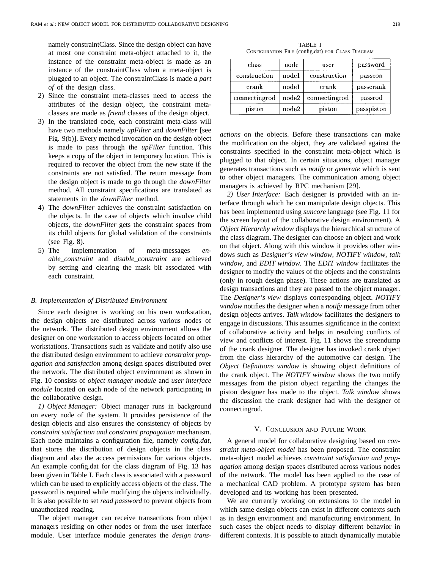namely constraintClass. Since the design object can have at most one constraint meta-object attached to it, the instance of the constraint meta-object is made as an instance of the constraintClass when a meta-object is plugged to an object. The constraintClass is made *a part of* of the design class.

- 2) Since the constraint meta-classes need to access the attributes of the design object, the constraint metaclasses are made as *friend* classes of the design object.
- 3) In the translated code, each constraint meta-class will have two methods namely *upFilter* and *downFilter* [see Fig. 9(b)]. Every method invocation on the design object is made to pass through the *upFilter* function. This keeps a copy of the object in temporary location. This is required to recover the object from the new state if the constraints are not satisfied. The return message from the design object is made to go through the *downFilter* method. All constraint specifications are translated as statements in the *downFilter* method.
- 4) The *downFilter* achieves the constraint satisfaction on the objects. In the case of objects which involve child objects, the *downFilter* gets the constraint spaces from its child objects for global validation of the constraints (see Fig. 8).
- 5) The implementation of meta-messages *enable\_constraint* and *disable\_constraint* are achieved by setting and clearing the mask bit associated with each constraint.

#### *B. Implementation of Distributed Environment*

Since each designer is working on his own workstation, the design objects are distributed across various nodes of the network. The distributed design environment allows the designer on one workstation to access objects located on other workstations. Transactions such as validate and notify also use the distributed design environment to achieve *constraint propagation and satisfaction* among design spaces distributed over the network. The distributed object environment as shown in Fig. 10 consists of *object manager module* and *user interface module* located on each node of the network participating in the collaborative design.

*1) Object Manager:* Object manager runs in background on every node of the system. It provides persistence of the design objects and also ensures the consistency of objects by *constraint satisfaction and constraint propagation* mechanism. Each node maintains a configuration file, namely *config.dat*, that stores the distribution of design objects in the class diagram and also the access permissions for various objects. An example config.dat for the class diagram of Fig. 13 has been given in Table I. Each class is associated with a password which can be used to explicitly access objects of the class. The password is required while modifying the objects individually. It is also possible to set *read password* to prevent objects from unauthorized reading.

The object manager can receive transactions from object managers residing on other nodes or from the user interface module. User interface module generates the *design trans-*

TABLE I CONFIGURATION FILE (config.dat) FOR CLASS DIAGRAM

| class         | node  | user          | password   |
|---------------|-------|---------------|------------|
| construction  | node1 | construction  | passcon    |
| crank         | node1 | crank         | passcrank  |
| connectingrod | node2 | connectingrod | passrod    |
| piston        | node2 | piston        | passpiston |

*actions* on the objects. Before these transactions can make the modification on the object, they are validated against the constraints specified in the constraint meta-object which is plugged to that object. In certain situations, object manager generates transactions such as *notify* or *generate* which is sent to other object managers. The communication among object managers is achieved by RPC mechanism [29].

*2) User Interface:* Each designer is provided with an interface through which he can manipulate design objects. This has been implemented using *suncore* language (see Fig. 11 for the screen layout of the collaborative design environment). A *Object Hierarchy window* displays the hierarchical structure of the class diagram. The designer can choose an object and work on that object. Along with this window it provides other windows such as *Designer's view window*, *NOTIFY window*, *talk window*, and *EDIT window*. The *EDIT window* facilitates the designer to modify the values of the objects and the constraints (only in rough design phase). These actions are translated as design transactions and they are passed to the object manager. The *Designer's view* displays corresponding object. *NOTIFY window* notifies the designer when a *notify* message from other design objects arrives. *Talk window* facilitates the designers to engage in discussions. This assumes significance in the context of collaborative activity and helps in resolving conflicts of view and conflicts of interest. Fig. 11 shows the screendump of the crank designer. The designer has invoked crank object from the class hierarchy of the automotive car design. The *Object Definitions window* is showing object definitions of the crank object. The *NOTIFY window* shows the two notify messages from the piston object regarding the changes the piston designer has made to the object. *Talk window* shows the discussion the crank designer had with the designer of connectingrod.

#### V. CONCLUSION AND FUTURE WORK

A general model for collaborative designing based on *constraint meta-object model* has been proposed. The constraint meta-object model achieves *constraint satisfaction and propagation* among design spaces distributed across various nodes of the network. The model has been applied to the case of a mechanical CAD problem. A prototype system has been developed and its working has been presented.

We are currently working on extensions to the model in which same design objects can exist in different contexts such as in design environment and manufacturing environment. In such cases the object needs to display different behavior in different contexts. It is possible to attach dynamically mutable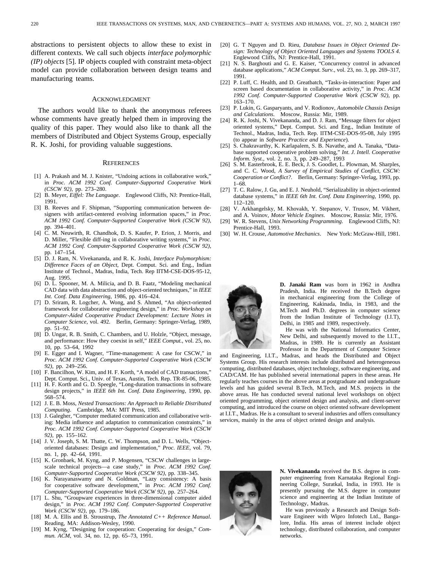abstractions to persistent objects to allow these to exist in different contexts. We call such objects *interface polymorphic (IP) objects* [5]. IP objects coupled with constraint meta-object model can provide collaboration between design teams and manufacturing teams.

#### ACKNOWLEDGMENT

The authors would like to thank the anonymous referees whose comments have greatly helped them in improving the quality of this paper. They would also like to thank all the members of Distributed and Object Systems Group, especially R. K. Joshi, for providing valuable suggestions.

#### **REFERENCES**

- [1] A. Prakash and M. J. Knister, "Undoing actions in collaborative work," in *Proc. ACM 1992 Conf. Computer-Supported Cooperative Work (CSCW 92)*, pp. 273–280.
- [2] B. Meyer, *Eiffel: The Language*. Englewood Cliffs, NJ: Prentice-Hall, 1991.
- [3] B. Reeves and F. Shipman, "Supporting communication between designers with artifact-centered evolving information spaces," in *Proc. ACM 1992 Conf. Computer-Supported Cooperative Work (CSCW 92)*, pp. 394–401.
- [4] C. M. Neuwirth, R. Chandhok, D. S. Kaufer, P. Erion, J. Morris, and D. Miller, "Flexible diff-ing in collaborative writing systems," in *Proc. ACM 1992 Conf. Computer-Supported Cooperative Work (CSCW 92)*, pp. 147–154.
- [5] D. J. Ram, N. Vivekananda, and R. K. Joshi, *Interface Polymorphism: Difference Faces of an Object*, Dept. Comput. Sci. and Eng., Indian Institute of Technol., Madras, India, Tech. Rep IITM-CSE-DOS-95-12, Aug. 1995.
- [6] D. L. Spooner, M. A. Milicia, and D. B. Faatz, "Modeling mechanical CAD data with data abstraction and object-oriented techniques," in *IEEE Int. Conf. Data Engineering*, 1986, pp. 416–424.
- [7] D. Sriram, R. Logcher, A. Wong, and S. Ahmed, "An object-oriented framework for collaborative engineering design," in *Proc. Workshop on Computer-Aided Cooperative Product Development: Lecture Notes in Computer Science*, vol. 492. Berlin, Germany: Springer-Verlag, 1989, pp. 51–92.
- [8] D. Ungar, R. B. Smith, C. Chambers, and U. Holzle, "Object, message, and performance: How they coexist in self," *IEEE Comput.*, vol. 25, no. 10, pp. 53–64, 1992
- [9] E. Egger and I. Wagner, "Time-management: A case for CSCW," in *Proc. ACM 1992 Conf. Computer-Supported Cooperative Work (CSCW 92)*, pp. 249–256.
- [10] F. Bancilhon, W. Kim, and H. F. Korth, "A model of CAD transactions," Dept. Comput. Sci., Univ. of Texas, Austin, Tech. Rep. TR-85-06, 1985.
- [11] H. F. Korth and G. D. Speegle, "Long-duration transactions in software design projects," in *IEEE 6th Int. Conf. Data Engineering*, 1990, pp. 568–574.
- [12] J. E. B. Moss, *Nested Transactions: An Approach to Reliable Distributed Computing*. Cambridge, MA: MIT Press, 1985.
- [13] J. Galegher, "Computer mediated communication and collaborative writing: Media influence and adaptation to communication constraints," in *Proc. ACM 1992 Conf. Computer-Supported Cooperative Work (CSCW 92)*, pp. 155–162.
- [14] J. V. Joseph, S. M. Thatte, C. W. Thompson, and D. L. Wells, "Objectoriented databases: Design and implementation," *Proc. IEEE*, vol. 79, no. 1, pp. 42–64, 1991.
- [15] K. Gronbaek, M. Kyng, and P. Mogensen, "CSCW challenges in largescale technical projects—a case study," in *Proc. ACM 1992 Conf. Computer-Supported Cooperative Work (CSCW 92)*, pp. 338–345.
- [16] K. Narayanaswamy and N. Goldman, "Lazy consistency: A basis for cooperative software development," in *Proc. ACM 1992 Conf. Computer-Supported Cooperative Work (CSCW 92)*, pp. 257–264.
- [17] L. Shu, "Groupware experiences in three-dimensional computer aided design," in *Proc. ACM 1992 Conf. Computer-Supported Cooperative Work (CSCW 92)*, pp. 179–186.
- [18] M. A. Ellis and B. Stroustrup, *The Annotated C++ Reference Manual*. Reading, MA: Addison-Wesley, 1990.
- [19] M. Kyng, "Designing for cooperation: Cooperating for design," *Commun. ACM*, vol. 34, no. 12, pp. 65–73, 1991.
- [20] G. T Nguyen and D. Rieu, *Database Issues in Object Oriented Design: Technology of Object Oriented Languages and Systems TOOLS 4*. Englewood Cliffs, NJ: Prentice-Hall, 1991.
- [21] N. S. Barghouti and G. E. Kaiser, "Concurrency control in advanced database applications," *ACM Comput. Surv.*, vol. 23, no. 3, pp. 269–317, 1991.
- [22] P. Luff, C. Health, and D. Greatbatch, "Tasks-in-interaction: Paper and screen based documentation in collaborative activity," in *Proc. ACM 1992 Conf. Computer-Supported Cooperative Work (CSCW 92)*, pp. 163–170.
- [23] P. Lukin, G. Gasparyants, and V. Rodionov, *Automobile Chassis Design and Calculations*. Moscow, Russia: Mir, 1989.
- [24] R. K. Joshi, N. Vivekananda, and D. J. Ram, "Message filters for object oriented systems," Dept. Comput. Sci. and Eng., Indian Institute of Technol., Madras, India, Tech. Rep. IITM-CSE-DOS-95-08, July 1995 (to appear in *Software Practice and Experience*).
- [25] S. Chakravarthy, K. Karlapalem, S. B. Navathe, and A. Tanaka, "Database supported cooperative problem solving," *Int. J. Intell. Cooperative Inform. Syst.*, vol. 2, no. 3, pp. 249–287, 1993
- [26] S. M. Easterbrook, E. E. Beck, J. S. Goodlet, L. Plowman, M. Sharples, and C. C. Wood, *A Survey of Empirical Studies of Conflict, CSCW: Cooperation or Conflict?*. Berlin, Germany: Springer-Verlag, 1993, pp. 1–68.
- [27] T. C. Ralow, J. Gu, and E. J. Neuhold, "Serializability in object-oriented database systems," in *IEEE 6th Int. Conf. Data Engineering*, 1990, pp. 112–120.
- [28] V. Arkhangelsky, M. Khovakh, Y. Stepanov, V. Trusov, M. Vikhert, and A. Voinov, *Motor Vehicle Engines*. Moscow, Russia: Mir, 1976.
- [29] W. R. Stevens, *Unix Networking Programming*. Englewood Cliffs, NJ: Prentice-Hall, 1993.
- [30] W. H. Crouse, *Automotive Mechanics*. New York: McGraw-Hill, 1981.



**D. Janaki Ram** was born in 1962 in Andhra Pradesh, India. He received the B.Tech degree in mechanical engineering from the College of Engineering, Kakinada, India, in 1983, and the M.Tech and Ph.D. degrees in computer science from the Indian Institute of Technology (I.I.T), Delhi, in 1985 and 1989, respectively.

He was with the National Informatics Center, New Delhi, and subsequently moved to the I.I.T., Madras, in 1989. He is currently an Assistant Professor in the Department of Computer Science

and Engineering, I.I.T., Madras, and heads the Distributed and Object Systems Group. His research interests include distributed and heterogeneous computing, distributed databases, object technology, software engineering, and CAD/CAM. He has published several international papers in these areas. He regularly teaches courses in the above areas at postgraduate and undergraduate levels and has guided several B.Tech, M.Tech, and M.S. projects in the above areas. He has conducted several national level workshops on object oriented programming, object oriented design and analysis, and client-server computing, and introduced the course on object oriented software development at I.I.T., Madras. He is a consultant to several industries and offers consultancy services, mainly in the area of object orinted design and analysis.



**N. Vivekananda** received the B.S. degree in computer engineering from Karnataka Regional Engineering College, Suratkal, India, in 1993. He is presently pursuing the M.S. degree in computer science and engineering at the Indian Institute of Technology, Madras.

He was previously a Research and Design Software Engineer with Wipro Infotech Ltd., Bangalore, India. His areas of interest include object technology, distributed collaboration, and computer networks.